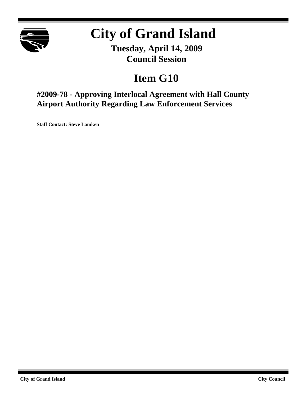

# **City of Grand Island**

**Tuesday, April 14, 2009 Council Session**

## **Item G10**

**#2009-78 - Approving Interlocal Agreement with Hall County Airport Authority Regarding Law Enforcement Services**

**Staff Contact: Steve Lamken**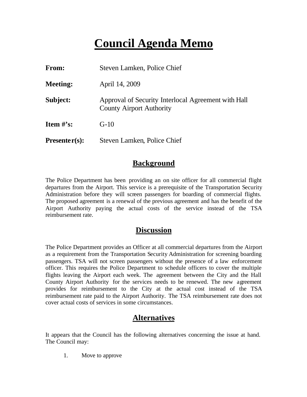## **Council Agenda Memo**

| <b>From:</b>    | Steven Lamken, Police Chief                                                            |
|-----------------|----------------------------------------------------------------------------------------|
| <b>Meeting:</b> | April 14, 2009                                                                         |
| Subject:        | Approval of Security Interlocal Agreement with Hall<br><b>County Airport Authority</b> |
| Item $#$ 's:    | $G-10$                                                                                 |
| $Presenter(s):$ | Steven Lamken, Police Chief                                                            |

#### **Background**

The Police Department has been providing an on site officer for all commercial flight departures from the Airport. This service is a prerequisite of the Transportation Security Administration before they will screen passengers for boarding of commercial flights. The proposed agreement is a renewal of the previous agreement and has the benefit of the Airport Authority paying the actual costs of the service instead of the TSA reimbursement rate.

#### **Discussion**

The Police Department provides an Officer at all commercial departures from the Airport as a requirement from the Transportation Security Administration for screening boarding passengers. TSA will not screen passengers without the presence of a law enforcement officer. This requires the Police Department to schedule officers to cover the multiple flights leaving the Airport each week. The agreement between the City and the Hall County Airport Authority for the services needs to be renewed. The new agreement provides for reimbursement to the City at the actual cost instead of the TSA reimbursement rate paid to the Airport Authority. The TSA reimbursement rate does not cover actual costs of services in some circumstances.

### **Alternatives**

It appears that the Council has the following alternatives concerning the issue at hand. The Council may:

1. Move to approve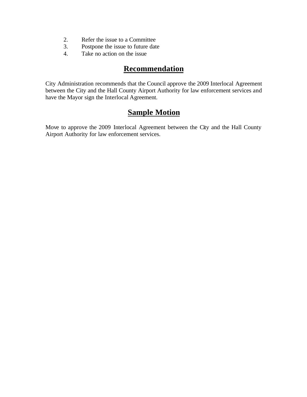- 2. Refer the issue to a Committee
- 3. Postpone the issue to future date
- 4. Take no action on the issue

#### **Recommendation**

City Administration recommends that the Council approve the 2009 Interlocal Agreement between the City and the Hall County Airport Authority for law enforcement services and have the Mayor sign the Interlocal Agreement.

### **Sample Motion**

Move to approve the 2009 Interlocal Agreement between the City and the Hall County Airport Authority for law enforcement services.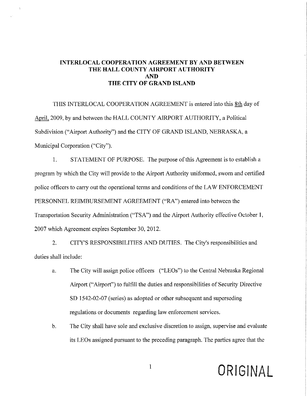#### **INTERLOCAL COOPERATION AGREEMENT BY AND BETWEEN** THE HALL COUNTY AIRPORT AUTHORITY **AND** THE CITY OF GRAND ISLAND

 $\ddot{\phantom{1}}$ 

THIS INTERLOCAL COOPERATION AGREEMENT is entered into this 8th day of April, 2009, by and between the HALL COUNTY AIRPORT AUTHORITY, a Political Subdivision ("Airport Authority") and the CITY OF GRAND ISLAND, NEBRASKA, a Municipal Corporation ("City").

 $1.$ STATEMENT OF PURPOSE. The purpose of this Agreement is to establish a program by which the City will provide to the Airport Authority uniformed, sworn and certified police officers to carry out the operational terms and conditions of the LAW ENFORCEMENT PERSONNEL REIMBURSEMENT AGREEMENT ("RA") entered into between the Transportation Security Administration ("TSA") and the Airport Authority effective October 1, 2007 which Agreement expires September 30, 2012.

CITY'S RESPONSIBILITIES AND DUTIES. The City's responsibilities and 2. duties shall include:

- The City will assign police officers ("LEOs") to the Central Nebraska Regional a. Airport ("Airport") to fulfill the duties and responsibilities of Security Directive SD 1542-02-07 (series) as adopted or other subsequent and superseding regulations or documents regarding law enforcement services.
- $<sub>b</sub>$ .</sub> The City shall have sole and exclusive discretion to assign, supervise and evaluate its LEOs assigned pursuant to the preceding paragraph. The parties agree that the

# ORIGINAL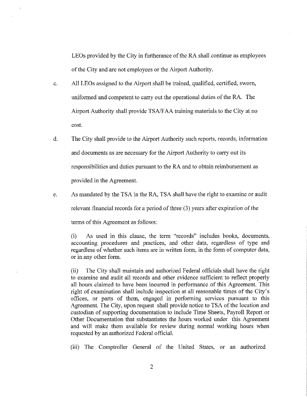LEOs provided by the City in furtherance of the RA shall continue as employees of the City and are not employees or the Airport Authority.

- All LEOs assigned to the Airport shall be trained, qualified, certified, sworn,  $\mathbf{c}$ . uniformed and competent to carry out the operational duties of the RA. The Airport Authority shall provide TSA/FAA training materials to the City at no cost.
- $\mathbf{d}$ . The City shall provide to the Airport Authority such reports, records, information and documents as are necessary for the Airport Authority to carry out its responsibilities and duties pursuant to the RA and to obtain reimbursement as provided in the Agreement.
- As mandated by the TSA in the RA, TSA shall have the right to examine or audit e.

relevant financial records for a period of three (3) years after expiration of the

terms of this Agreement as follows:

As used in this clause, the term "records" includes books, documents,  $(i)$ accounting procedures and practices, and other data, regardless of type and regardless of whether such items are in written form, in the form of computer data, or in any other form.

The City shall maintain and authorized Federal officials shall have the right  $(ii)$ to examine and audit all records and other evidence sufficient to reflect properly all hours claimed to have been incurred in performance of this Agreement. This right of examination shall include inspection at all reasonable times of the City's offices, or parts of them, engaged in performing services pursuant to this Agreement. The City, upon request shall provide notice to TSA of the location and custodian of supporting documentation to include Time Sheets, Payroll Report or Other Documentation that substantiates the hours worked under this Agreement and will make them available for review during normal working hours when requested by an authorized Federal official.

(iii) The Comptroller General of the United States, or an authorized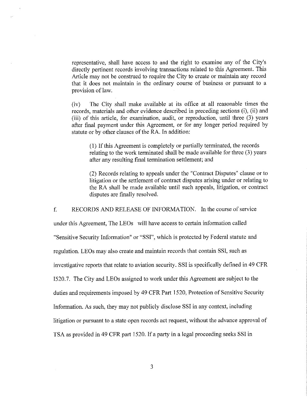representative, shall have access to and the right to examine any of the City's directly pertinent records involving transactions related to this Agreement. This Article may not be construed to require the City to create or maintain any record that it does not maintain in the ordinary course of business or pursuant to a provision of law.

The City shall make available at its office at all reasonable times the  $(iv)$ records, materials and other evidence described in preceding sections (i), (ii) and (iii) of this article, for examination, audit, or reproduction, until three (3) years after final payment under this Agreement, or for any longer period required by statute or by other clauses of the RA. In addition:

(1) If this Agreement is completely or partially terminated, the records relating to the work terminated shall be made available for three (3) years after any resulting final termination settlement; and

(2) Records relating to appeals under the "Contract Disputes" clause or to litigation or the settlement of contract disputes arising under or relating to the RA shall be made available until such appeals, litigation, or contract disputes are finally resolved.

RECORDS AND RELEASE OF INFORMATION. In the course of service  $f_{\cdot}$ 

under this Agreement, The LEOs will have access to certain information called "Sensitive Security Information" or "SSI", which is protected by Federal statute and regulation. LEOs may also create and maintain records that contain SSI, such as investigative reports that relate to aviation security. SSI is specifically defined in 49 CFR 1520.7. The City and LEOs assigned to work under this Agreement are subject to the duties and requirements imposed by 49 CFR Part 1520, Protection of Sensitive Security Information. As such, they may not publicly disclose SSI in any context, including litigation or pursuant to a state open records act request, without the advance approval of TSA as provided in 49 CFR part 1520. If a party in a legal proceeding seeks SSI in

 $\overline{3}$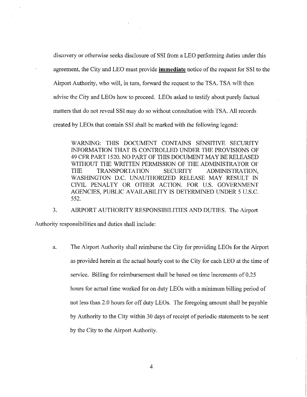discovery or otherwise seeks disclosure of SSI from a LEO performing duties under this agreement, the City and LEO must provide **immediate** notice of the request for SSI to the Airport Authority, who will, in turn, forward the request to the TSA. TSA will then advise the City and LEOs how to proceed. LEOs asked to testify about purely factual matters that do not reveal SSI may do so without consultation with TSA. All records created by LEOs that contain SSI shall be marked with the following legend:

WARNING: THIS DOCUMENT CONTAINS SENSITIVE SECURITY INFORMATION THAT IS CONTROLLED UNDER THE PROVISIONS OF 49 CFR PART 1520. NO PART OF THIS DOCUMENT MAY BE RELEASED WITHOUT THE WRITTEN PERMISSION OF THE ADMINISTRATOR OF **TRANSPORTATION** THE **SECURITY** ADMINISTRATION. WASHINGTON D.C. UNAUTHORIZED RELEASE MAY RESULT IN CIVIL PENALTY OR OTHER ACTION. FOR U.S. GOVERNMENT AGENCIES, PUBLIC AVAILABILITY IS DETERMINED UNDER 5 U.S.C. 552.

3. AIRPORT AUTHORITY RESPONSIBILITIES AND DUTIES. The Airport Authority responsibilities and duties shall include:

The Airport Authority shall reimburse the City for providing LEOs for the Airport a. as provided herein at the actual hourly cost to the City for each LEO at the time of service. Billing for reimbursement shall be based on time increments of 0.25 hours for actual time worked for on duty LEOs with a minimum billing period of not less than 2.0 hours for off duty LEOs. The foregoing amount shall be payable by Authority to the City within 30 days of receipt of periodic statements to be sent by the City to the Airport Authority.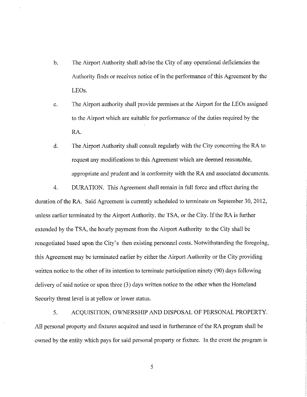- The Airport Authority shall advise the City of any operational deficiencies the  $\mathbf b$ . Authority finds or receives notice of in the performance of this Agreement by the LEO<sub>s</sub>.
- The Airport authority shall provide premises at the Airport for the LEOs assigned  $\mathbf{c}$ . to the Airport which are suitable for performance of the duties required by the RA.
- $d_{\cdot}$ The Airport Authority shall consult regularly with the City concerning the RA to request any modifications to this Agreement which are deemed reasonable, appropriate and prudent and in conformity with the RA and associated documents.

DURATION. This Agreement shall remain in full force and effect during the  $4.$ duration of the RA. Said Agreement is currently scheduled to terminate on September 30, 2012, unless earlier terminated by the Airport Authority, the TSA, or the City. If the RA is further extended by the TSA, the hourly payment from the Airport Authority to the City shall be renegotiated based upon the City's then existing personnel costs. Notwithstanding the foregoing, this Agreement may be terminated earlier by either the Airport Authority or the City providing written notice to the other of its intention to terminate participation ninety (90) days following delivery of said notice or upon three (3) days written notice to the other when the Homeland Security threat level is at yellow or lower status.

5. ACQUISITION, OWNERSHIP AND DISPOSAL OF PERSONAL PROPERTY. All personal property and fixtures acquired and used in furtherance of the RA program shall be owned by the entity which pays for said personal property or fixture. In the event the program is

5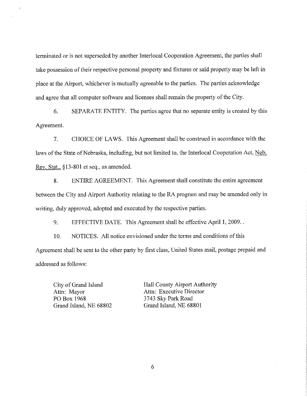terminated or is not superseded by another Interlocal Cooperation Agreement, the parties shall take possession of their respective personal property and fixtures or said property may be left in place at the Airport, whichever is mutually agreeable to the parties. The parties acknowledge and agree that all computer software and licenses shall remain the property of the City.

 $6.$ SEPARATE ENTITY. The parties agree that no separate entity is created by this Agreement.

 $7<sub>1</sub>$ CHOICE OF LAWS. This Agreement shall be construed in accordance with the laws of the State of Nebraska, including, but not limited to, the Interlocal Cooperation Act, Neb. Rev. Stat., §13-801 et seq., as amended.

8. ENTIRE AGREEMENT. This Agreement shall constitute the entire agreement between the City and Airport Authority relating to the RA program and may be amended only in writing, duly approved, adopted and executed by the respective parties.

9. EFFECTIVE DATE. This Agreement shall be effective April 1, 2009..

NOTICES. All notice envisioned under the terms and conditions of this 10. Agreement shall be sent to the other party by first class, United States mail, postage prepaid and addressed as follows:

City of Grand Island Attn: Mayor PO Box 1968 Grand Island, NE 68802 Hall County Airport Authority Attn: Executive Director 3743 Sky Park Road Grand Island, NE 68801

6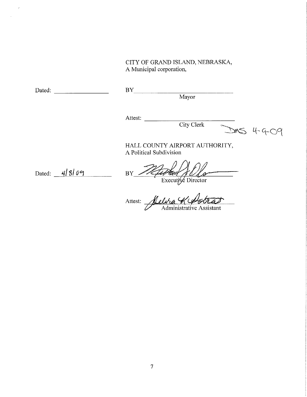CITY OF GRAND ISLAND, NEBRASKA, A Municipal corporation,

 $\tilde{\tilde{r}}$ 

Mayor

Attest: City Clerk

BY A Service Service Service Service Service Service Service Service Service Service Service Service Service S

DMS 4-9-09

HALL COUNTY AIRPORT AUTHORITY, A Political Subdivision

Dated: 4/8/09

 $BY$ er un p V 10

Attest:  $\overline{\phantom{a}}$ Administrative Assistant